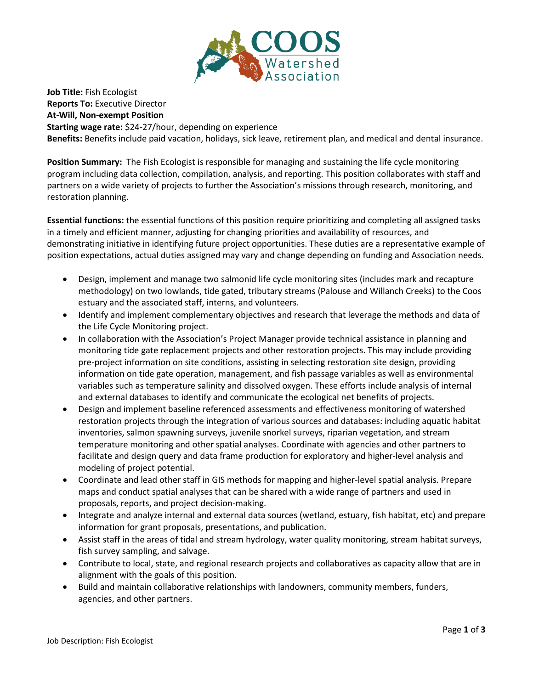

**Job Title:** Fish Ecologist **Reports To:** Executive Director **At-Will, Non-exempt Position Starting wage rate:** \$24-27/hour, depending on experience **Benefits:** Benefits include paid vacation, holidays, sick leave, retirement plan, and medical and dental insurance.

**Position Summary:** The Fish Ecologist is responsible for managing and sustaining the life cycle monitoring program including data collection, compilation, analysis, and reporting. This position collaborates with staff and partners on a wide variety of projects to further the Association's missions through research, monitoring, and restoration planning.

**Essential functions:** the essential functions of this position require prioritizing and completing all assigned tasks in a timely and efficient manner, adjusting for changing priorities and availability of resources, and demonstrating initiative in identifying future project opportunities. These duties are a representative example of position expectations, actual duties assigned may vary and change depending on funding and Association needs.

- Design, implement and manage two salmonid life cycle monitoring sites (includes mark and recapture methodology) on two lowlands, tide gated, tributary streams (Palouse and Willanch Creeks) to the Coos estuary and the associated staff, interns, and volunteers.
- Identify and implement complementary objectives and research that leverage the methods and data of the Life Cycle Monitoring project.
- In collaboration with the Association's Project Manager provide technical assistance in planning and monitoring tide gate replacement projects and other restoration projects. This may include providing pre-project information on site conditions, assisting in selecting restoration site design, providing information on tide gate operation, management, and fish passage variables as well as environmental variables such as temperature salinity and dissolved oxygen. These efforts include analysis of internal and external databases to identify and communicate the ecological net benefits of projects.
- Design and implement baseline referenced assessments and effectiveness monitoring of watershed restoration projects through the integration of various sources and databases: including aquatic habitat inventories, salmon spawning surveys, juvenile snorkel surveys, riparian vegetation, and stream temperature monitoring and other spatial analyses. Coordinate with agencies and other partners to facilitate and design query and data frame production for exploratory and higher-level analysis and modeling of project potential.
- Coordinate and lead other staff in GIS methods for mapping and higher-level spatial analysis. Prepare maps and conduct spatial analyses that can be shared with a wide range of partners and used in proposals, reports, and project decision-making.
- Integrate and analyze internal and external data sources (wetland, estuary, fish habitat, etc) and prepare information for grant proposals, presentations, and publication.
- Assist staff in the areas of tidal and stream hydrology, water quality monitoring, stream habitat surveys, fish survey sampling, and salvage.
- Contribute to local, state, and regional research projects and collaboratives as capacity allow that are in alignment with the goals of this position.
- Build and maintain collaborative relationships with landowners, community members, funders, agencies, and other partners.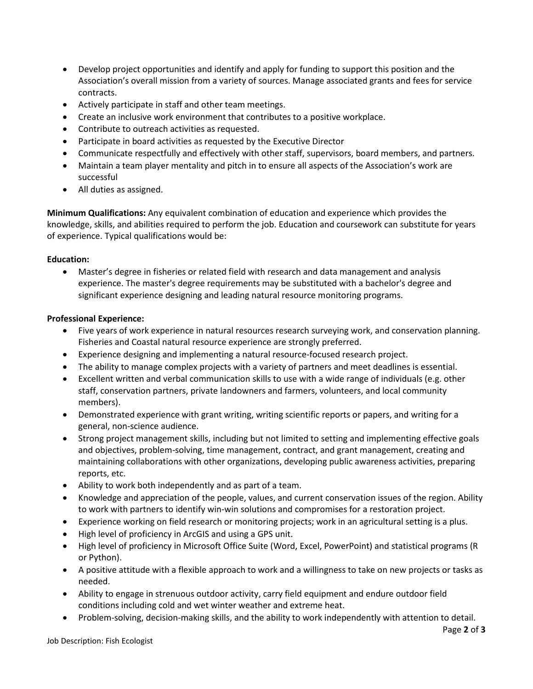- Develop project opportunities and identify and apply for funding to support this position and the Association's overall mission from a variety of sources. Manage associated grants and fees for service contracts.
- Actively participate in staff and other team meetings.
- Create an inclusive work environment that contributes to a positive workplace.
- Contribute to outreach activities as requested.
- Participate in board activities as requested by the Executive Director
- Communicate respectfully and effectively with other staff, supervisors, board members, and partners.
- Maintain a team player mentality and pitch in to ensure all aspects of the Association's work are successful
- All duties as assigned.

**Minimum Qualifications:** Any equivalent combination of education and experience which provides the knowledge, skills, and abilities required to perform the job. Education and coursework can substitute for years of experience. Typical qualifications would be:

## **Education:**

• Master's degree in fisheries or related field with research and data management and analysis experience. The master's degree requirements may be substituted with a bachelor's degree and significant experience designing and leading natural resource monitoring programs.

## **Professional Experience:**

- Five years of work experience in natural resources research surveying work, and conservation planning. Fisheries and Coastal natural resource experience are strongly preferred.
- Experience designing and implementing a natural resource-focused research project.
- The ability to manage complex projects with a variety of partners and meet deadlines is essential.
- Excellent written and verbal communication skills to use with a wide range of individuals (e.g. other staff, conservation partners, private landowners and farmers, volunteers, and local community members).
- Demonstrated experience with grant writing, writing scientific reports or papers, and writing for a general, non-science audience.
- Strong project management skills, including but not limited to setting and implementing effective goals and objectives, problem-solving, time management, contract, and grant management, creating and maintaining collaborations with other organizations, developing public awareness activities, preparing reports, etc.
- Ability to work both independently and as part of a team.
- Knowledge and appreciation of the people, values, and current conservation issues of the region. Ability to work with partners to identify win-win solutions and compromises for a restoration project.
- Experience working on field research or monitoring projects; work in an agricultural setting is a plus.
- High level of proficiency in ArcGIS and using a GPS unit.
- High level of proficiency in Microsoft Office Suite (Word, Excel, PowerPoint) and statistical programs (R or Python).
- A positive attitude with a flexible approach to work and a willingness to take on new projects or tasks as needed.
- Ability to engage in strenuous outdoor activity, carry field equipment and endure outdoor field conditions including cold and wet winter weather and extreme heat.
- Problem-solving, decision-making skills, and the ability to work independently with attention to detail.